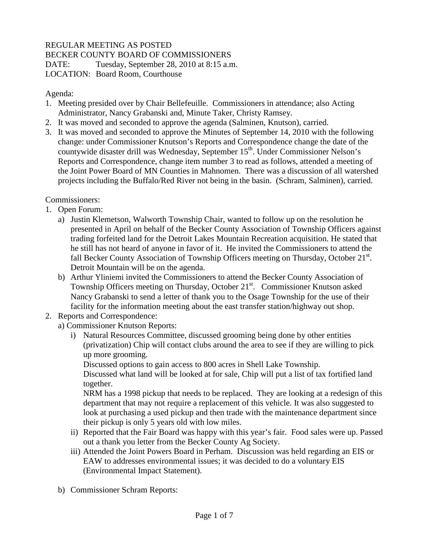## REGULAR MEETING AS POSTED BECKER COUNTY BOARD OF COMMISSIONERS DATE: Tuesday, September 28, 2010 at 8:15 a.m.

LOCATION: Board Room, Courthouse

Agenda:

- 1. Meeting presided over by Chair Bellefeuille. Commissioners in attendance; also Acting Administrator, Nancy Grabanski and, Minute Taker, Christy Ramsey.
- 2. It was moved and seconded to approve the agenda (Salminen, Knutson), carried.
- 3. It was moved and seconded to approve the Minutes of September 14, 2010 with the following change: under Commissioner Knutson's Reports and Correspondence change the date of the countywide disaster drill was Wednesday, September 15<sup>th</sup>. Under Commissioner Nelson's Reports and Correspondence, change item number 3 to read as follows, attended a meeting of the Joint Power Board of MN Counties in Mahnomen. There was a discussion of all watershed projects including the Buffalo/Red River not being in the basin. (Schram, Salminen), carried.

Commissioners:

- 1. Open Forum:
	- a) Justin Klemetson, Walworth Township Chair, wanted to follow up on the resolution he presented in April on behalf of the Becker County Association of Township Officers against trading forfeited land for the Detroit Lakes Mountain Recreation acquisition. He stated that he still has not heard of anyone in favor of it. He invited the Commissioners to attend the fall Becker County Association of Township Officers meeting on Thursday, October 21<sup>st</sup>. Detroit Mountain will be on the agenda.
	- b) Arthur Yliniemi invited the Commissioners to attend the Becker County Association of Township Officers meeting on Thursday, October 21<sup>st</sup>. Commissioner Knutson asked Nancy Grabanski to send a letter of thank you to the Osage Township for the use of their facility for the information meeting about the east transfer station/highway out shop.
- 2. Reports and Correspondence:

a) Commissioner Knutson Reports:

i) Natural Resources Committee, discussed grooming being done by other entities (privatization) Chip will contact clubs around the area to see if they are willing to pick up more grooming.

Discussed options to gain access to 800 acres in Shell Lake Township.

Discussed what land will be looked at for sale, Chip will put a list of tax fortified land together.

NRM has a 1998 pickup that needs to be replaced. They are looking at a redesign of this department that may not require a replacement of this vehicle. It was also suggested to look at purchasing a used pickup and then trade with the maintenance department since their pickup is only 5 years old with low miles.

- ii) Reported that the Fair Board was happy with this year's fair. Food sales were up. Passed out a thank you letter from the Becker County Ag Society.
- iii) Attended the Joint Powers Board in Perham. Discussion was held regarding an EIS or EAW to addresses environmental issues; it was decided to do a voluntary EIS (Environmental Impact Statement).
- b) Commissioner Schram Reports: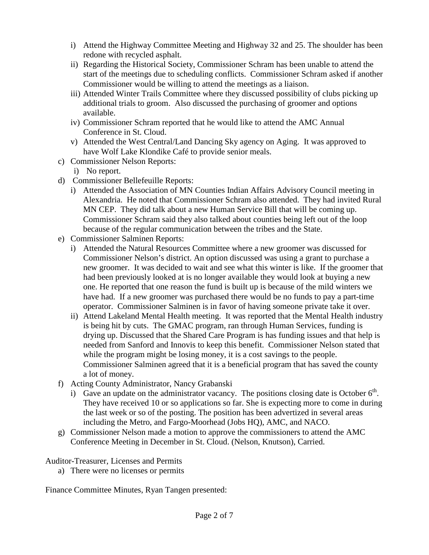- i) Attend the Highway Committee Meeting and Highway 32 and 25. The shoulder has been redone with recycled asphalt.
- ii) Regarding the Historical Society, Commissioner Schram has been unable to attend the start of the meetings due to scheduling conflicts. Commissioner Schram asked if another Commissioner would be willing to attend the meetings as a liaison.
- iii) Attended Winter Trails Committee where they discussed possibility of clubs picking up additional trials to groom. Also discussed the purchasing of groomer and options available.
- iv) Commissioner Schram reported that he would like to attend the AMC Annual Conference in St. Cloud.
- v) Attended the West Central/Land Dancing Sky agency on Aging. It was approved to have Wolf Lake Klondike Café to provide senior meals.
- c) Commissioner Nelson Reports:
	- i) No report.
- d) Commissioner Bellefeuille Reports:
	- i) Attended the Association of MN Counties Indian Affairs Advisory Council meeting in Alexandria. He noted that Commissioner Schram also attended. They had invited Rural MN CEP. They did talk about a new Human Service Bill that will be coming up. Commissioner Schram said they also talked about counties being left out of the loop because of the regular communication between the tribes and the State.
- e) Commissioner Salminen Reports:
	- i) Attended the Natural Resources Committee where a new groomer was discussed for Commissioner Nelson's district. An option discussed was using a grant to purchase a new groomer. It was decided to wait and see what this winter is like. If the groomer that had been previously looked at is no longer available they would look at buying a new one. He reported that one reason the fund is built up is because of the mild winters we have had. If a new groomer was purchased there would be no funds to pay a part-time operator. Commissioner Salminen is in favor of having someone private take it over.
	- ii) Attend Lakeland Mental Health meeting. It was reported that the Mental Health industry is being hit by cuts. The GMAC program, ran through Human Services, funding is drying up. Discussed that the Shared Care Program is has funding issues and that help is needed from Sanford and Innovis to keep this benefit. Commissioner Nelson stated that while the program might be losing money, it is a cost savings to the people. Commissioner Salminen agreed that it is a beneficial program that has saved the county a lot of money.
- f) Acting County Administrator, Nancy Grabanski
	- i) Gave an update on the administrator vacancy. The positions closing date is October  $6<sup>th</sup>$ . They have received 10 or so applications so far. She is expecting more to come in during the last week or so of the posting. The position has been advertized in several areas including the Metro, and Fargo-Moorhead (Jobs HQ), AMC, and NACO.
- g) Commissioner Nelson made a motion to approve the commissioners to attend the AMC Conference Meeting in December in St. Cloud. (Nelson, Knutson), Carried.

Auditor-Treasurer, Licenses and Permits

a) There were no licenses or permits

Finance Committee Minutes, Ryan Tangen presented: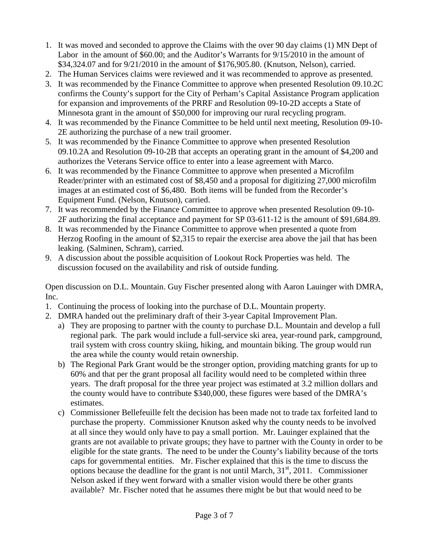- 1. It was moved and seconded to approve the Claims with the over 90 day claims (1) MN Dept of Labor in the amount of \$60.00; and the Auditor's Warrants for 9/15/2010 in the amount of \$34,324.07 and for 9/21/2010 in the amount of \$176,905.80. (Knutson, Nelson), carried.
- 2. The Human Services claims were reviewed and it was recommended to approve as presented.
- 3. It was recommended by the Finance Committee to approve when presented Resolution 09.10.2C confirms the County's support for the City of Perham's Capital Assistance Program application for expansion and improvements of the PRRF and Resolution 09-10-2D accepts a State of Minnesota grant in the amount of \$50,000 for improving our rural recycling program.
- 4. It was recommended by the Finance Committee to be held until next meeting, Resolution 09-10- 2E authorizing the purchase of a new trail groomer.
- 5. It was recommended by the Finance Committee to approve when presented Resolution 09.10.2A and Resolution 09-10-2B that accepts an operating grant in the amount of \$4,200 and authorizes the Veterans Service office to enter into a lease agreement with Marco.
- 6. It was recommended by the Finance Committee to approve when presented a Microfilm Reader/printer with an estimated cost of \$8,450 and a proposal for digitizing 27,000 microfilm images at an estimated cost of \$6,480. Both items will be funded from the Recorder's Equipment Fund. (Nelson, Knutson), carried.
- 7. It was recommended by the Finance Committee to approve when presented Resolution 09-10- 2F authorizing the final acceptance and payment for SP 03-611-12 is the amount of \$91,684.89.
- 8. It was recommended by the Finance Committee to approve when presented a quote from Herzog Roofing in the amount of \$2,315 to repair the exercise area above the jail that has been leaking. (Salminen, Schram), carried.
- 9. A discussion about the possible acquisition of Lookout Rock Properties was held. The discussion focused on the availability and risk of outside funding.

Open discussion on D.L. Mountain. Guy Fischer presented along with Aaron Lauinger with DMRA, Inc.

- 1. Continuing the process of looking into the purchase of D.L. Mountain property.
- 2. DMRA handed out the preliminary draft of their 3-year Capital Improvement Plan.
	- a) They are proposing to partner with the county to purchase D.L. Mountain and develop a full regional park. The park would include a full-service ski area, year-round park, campground, trail system with cross country skiing, hiking, and mountain biking. The group would run the area while the county would retain ownership.
	- b) The Regional Park Grant would be the stronger option, providing matching grants for up to 60% and that per the grant proposal all facility would need to be completed within three years. The draft proposal for the three year project was estimated at 3.2 million dollars and the county would have to contribute \$340,000, these figures were based of the DMRA's estimates.
	- c) Commissioner Bellefeuille felt the decision has been made not to trade tax forfeited land to purchase the property. Commissioner Knutson asked why the county needs to be involved at all since they would only have to pay a small portion. Mr. Lauinger explained that the grants are not available to private groups; they have to partner with the County in order to be eligible for the state grants. The need to be under the County's liability because of the torts caps for governmental entities. Mr. Fischer explained that this is the time to discuss the options because the deadline for the grant is not until March,  $31<sup>st</sup>$ , 2011. Commissioner Nelson asked if they went forward with a smaller vision would there be other grants available? Mr. Fischer noted that he assumes there might be but that would need to be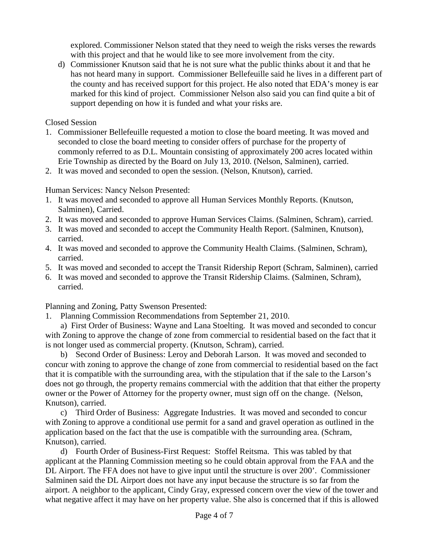explored. Commissioner Nelson stated that they need to weigh the risks verses the rewards with this project and that he would like to see more involvement from the city.

d) Commissioner Knutson said that he is not sure what the public thinks about it and that he has not heard many in support. Commissioner Bellefeuille said he lives in a different part of the county and has received support for this project. He also noted that EDA's money is ear marked for this kind of project. Commissioner Nelson also said you can find quite a bit of support depending on how it is funded and what your risks are.

## Closed Session

- 1. Commissioner Bellefeuille requested a motion to close the board meeting. It was moved and seconded to close the board meeting to consider offers of purchase for the property of commonly referred to as D.L. Mountain consisting of approximately 200 acres located within Erie Township as directed by the Board on July 13, 2010. (Nelson, Salminen), carried.
- 2. It was moved and seconded to open the session. (Nelson, Knutson), carried.

Human Services: Nancy Nelson Presented:

- 1. It was moved and seconded to approve all Human Services Monthly Reports. (Knutson, Salminen), Carried.
- 2. It was moved and seconded to approve Human Services Claims. (Salminen, Schram), carried.
- 3. It was moved and seconded to accept the Community Health Report. (Salminen, Knutson), carried.
- 4. It was moved and seconded to approve the Community Health Claims. (Salminen, Schram), carried.
- 5. It was moved and seconded to accept the Transit Ridership Report (Schram, Salminen), carried
- 6. It was moved and seconded to approve the Transit Ridership Claims. (Salminen, Schram), carried.

Planning and Zoning, Patty Swenson Presented:

1. Planning Commission Recommendations from September 21, 2010.

 a) First Order of Business: Wayne and Lana Stoelting. It was moved and seconded to concur with Zoning to approve the change of zone from commercial to residential based on the fact that it is not longer used as commercial property. (Knutson, Schram), carried.

 b) Second Order of Business: Leroy and Deborah Larson. It was moved and seconded to concur with zoning to approve the change of zone from commercial to residential based on the fact that it is compatible with the surrounding area, with the stipulation that if the sale to the Larson's does not go through, the property remains commercial with the addition that that either the property owner or the Power of Attorney for the property owner, must sign off on the change. (Nelson, Knutson), carried.

 c) Third Order of Business: Aggregate Industries. It was moved and seconded to concur with Zoning to approve a conditional use permit for a sand and gravel operation as outlined in the application based on the fact that the use is compatible with the surrounding area. (Schram, Knutson), carried.

 d) Fourth Order of Business-First Request: Stoffel Reitsma. This was tabled by that applicant at the Planning Commission meeting so he could obtain approval from the FAA and the DL Airport. The FFA does not have to give input until the structure is over 200'. Commissioner Salminen said the DL Airport does not have any input because the structure is so far from the airport. A neighbor to the applicant, Cindy Gray, expressed concern over the view of the tower and what negative affect it may have on her property value. She also is concerned that if this is allowed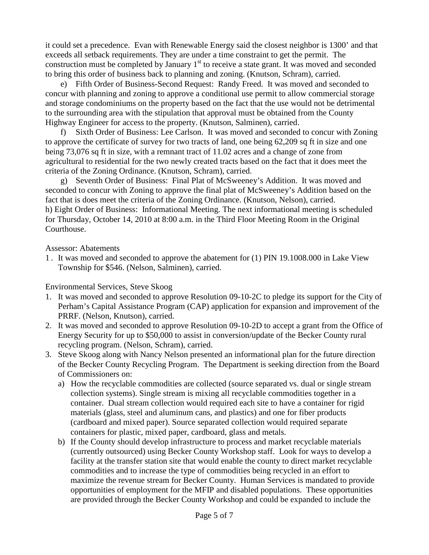it could set a precedence. Evan with Renewable Energy said the closest neighbor is 1300' and that exceeds all setback requirements. They are under a time constraint to get the permit. The construction must be completed by January  $1<sup>st</sup>$  to receive a state grant. It was moved and seconded to bring this order of business back to planning and zoning. (Knutson, Schram), carried.

 e) Fifth Order of Business-Second Request: Randy Freed. It was moved and seconded to concur with planning and zoning to approve a conditional use permit to allow commercial storage and storage condominiums on the property based on the fact that the use would not be detrimental to the surrounding area with the stipulation that approval must be obtained from the County Highway Engineer for access to the property. (Knutson, Salminen), carried.

 f) Sixth Order of Business: Lee Carlson. It was moved and seconded to concur with Zoning to approve the certificate of survey for two tracts of land, one being 62,209 sq ft in size and one being 73,076 sq ft in size, with a remnant tract of 11.02 acres and a change of zone from agricultural to residential for the two newly created tracts based on the fact that it does meet the criteria of the Zoning Ordinance. (Knutson, Schram), carried.

 g) Seventh Order of Business: Final Plat of McSweeney's Addition. It was moved and seconded to concur with Zoning to approve the final plat of McSweeney's Addition based on the fact that is does meet the criteria of the Zoning Ordinance. (Knutson, Nelson), carried. h) Eight Order of Business: Informational Meeting. The next informational meeting is scheduled for Thursday, October 14, 2010 at 8:00 a.m. in the Third Floor Meeting Room in the Original Courthouse.

Assessor: Abatements

1 . It was moved and seconded to approve the abatement for (1) PIN 19.1008.000 in Lake View Township for \$546. (Nelson, Salminen), carried.

Environmental Services, Steve Skoog

- 1. It was moved and seconded to approve Resolution 09-10-2C to pledge its support for the City of Perham's Capital Assistance Program (CAP) application for expansion and improvement of the PRRF. (Nelson, Knutson), carried.
- 2. It was moved and seconded to approve Resolution 09-10-2D to accept a grant from the Office of Energy Security for up to \$50,000 to assist in conversion/update of the Becker County rural recycling program. (Nelson, Schram), carried.
- 3. Steve Skoog along with Nancy Nelson presented an informational plan for the future direction of the Becker County Recycling Program. The Department is seeking direction from the Board of Commissioners on:
	- a) How the recyclable commodities are collected (source separated vs. dual or single stream collection systems). Single stream is mixing all recyclable commodities together in a container. Dual stream collection would required each site to have a container for rigid materials (glass, steel and aluminum cans, and plastics) and one for fiber products (cardboard and mixed paper). Source separated collection would required separate containers for plastic, mixed paper, cardboard, glass and metals.
	- b) If the County should develop infrastructure to process and market recyclable materials (currently outsourced) using Becker County Workshop staff. Look for ways to develop a facility at the transfer station site that would enable the county to direct market recyclable commodities and to increase the type of commodities being recycled in an effort to maximize the revenue stream for Becker County. Human Services is mandated to provide opportunities of employment for the MFIP and disabled populations. These opportunities are provided through the Becker County Workshop and could be expanded to include the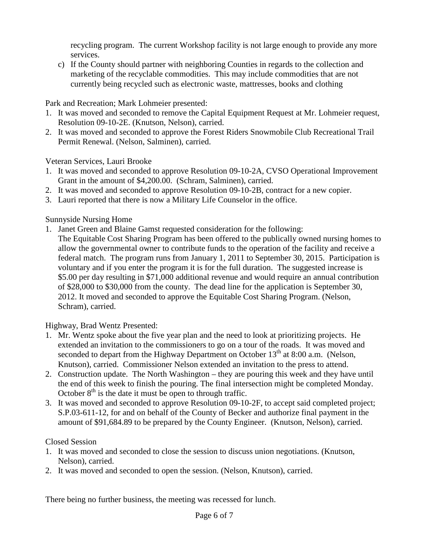recycling program. The current Workshop facility is not large enough to provide any more services.

c) If the County should partner with neighboring Counties in regards to the collection and marketing of the recyclable commodities. This may include commodities that are not currently being recycled such as electronic waste, mattresses, books and clothing

Park and Recreation; Mark Lohmeier presented:

- 1. It was moved and seconded to remove the Capital Equipment Request at Mr. Lohmeier request, Resolution 09-10-2E. (Knutson, Nelson), carried.
- 2. It was moved and seconded to approve the Forest Riders Snowmobile Club Recreational Trail Permit Renewal. (Nelson, Salminen), carried.

Veteran Services, Lauri Brooke

- 1. It was moved and seconded to approve Resolution 09-10-2A, CVSO Operational Improvement Grant in the amount of \$4,200.00. (Schram, Salminen), carried.
- 2. It was moved and seconded to approve Resolution 09-10-2B, contract for a new copier.
- 3. Lauri reported that there is now a Military Life Counselor in the office.

Sunnyside Nursing Home

- 1. Janet Green and Blaine Gamst requested consideration for the following:
	- The Equitable Cost Sharing Program has been offered to the publically owned nursing homes to allow the governmental owner to contribute funds to the operation of the facility and receive a federal match. The program runs from January 1, 2011 to September 30, 2015. Participation is voluntary and if you enter the program it is for the full duration. The suggested increase is \$5.00 per day resulting in \$71,000 additional revenue and would require an annual contribution of \$28,000 to \$30,000 from the county. The dead line for the application is September 30, 2012. It moved and seconded to approve the Equitable Cost Sharing Program. (Nelson, Schram), carried.

Highway, Brad Wentz Presented:

- 1. Mr. Wentz spoke about the five year plan and the need to look at prioritizing projects. He extended an invitation to the commissioners to go on a tour of the roads. It was moved and seconded to depart from the Highway Department on October  $13<sup>th</sup>$  at 8:00 a.m. (Nelson, Knutson), carried. Commissioner Nelson extended an invitation to the press to attend.
- 2. Construction update. The North Washington they are pouring this week and they have until the end of this week to finish the pouring. The final intersection might be completed Monday. October  $8<sup>th</sup>$  is the date it must be open to through traffic.
- 3. It was moved and seconded to approve Resolution 09-10-2F, to accept said completed project; S.P.03-611-12, for and on behalf of the County of Becker and authorize final payment in the amount of \$91,684.89 to be prepared by the County Engineer. (Knutson, Nelson), carried.

Closed Session

- 1. It was moved and seconded to close the session to discuss union negotiations. (Knutson, Nelson), carried.
- 2. It was moved and seconded to open the session. (Nelson, Knutson), carried.

There being no further business, the meeting was recessed for lunch.